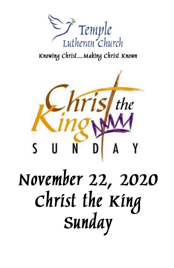

Knowing Christ... Making Christ Known



# November 22, 2020 christ the King Sunday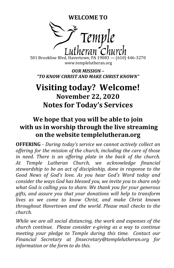**WELCOME TO**



501 Brookline Blvd, Havertown, PA 19083 — (610) 446-3270 www.templelutheran.org

*OUR MISSION – "TO KNOW CHRIST AND MAKE CHRIST KNOWN"*

## **Visiting today? Welcome! November 22, 2020 Notes for Today's Services**

## **We hope that you will be able to join with us in worship through the live streaming on the website templelutheran.org**

**OFFERING** *- During today's service we cannot actively collect an offering for the mission of the church, including the care of those in need. There is an offering plate in the back of the church. At Temple Lutheran Church, we acknowledge financial stewardship to be an act of discipleship, done in response to the Good News of God's love. As you hear God's Word today and consider the ways God has blessed you, we invite you to share only what God is calling you to share. We thank you for your generous gifts, and assure you that your donations will help to transform lives as we come to know Christ, and make Christ known throughout Havertown and the world. Please mail checks to the church.*

*While we are all social distancing, the work and expenses of the church continue. Please consider e-giving as a way to continue meeting your pledge to Temple during this time. Contact our Financial Secretary at finsecretary@templelutheran.org for information or the form to do this.*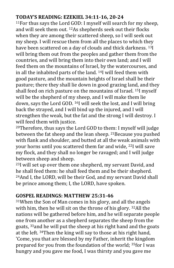#### **TODAY'S READING: EZEKIEL 34:11-16, 20-24**

<sup>11</sup>For thus says the Lord GOD: I myself will search for my sheep, and will seek them out. <sup>12</sup>As shepherds seek out their flocks when they are among their scattered sheep, so I will seek out my sheep. I will rescue them from all the places to which they have been scattered on a day of clouds and thick darkness.<sup>13</sup>I will bring them out from the peoples and gather them from the countries, and will bring them into their own land; and I will feed them on the mountains of Israel, by the watercourses, and in all the inhabited parts of the land. <sup>14</sup>I will feed them with good pasture, and the mountain heights of Israel shall be their pasture; there they shall lie down in good grazing land, and they shall feed on rich pasture on the mountains of Israel. <sup>15</sup>I myself will be the shepherd of my sheep, and I will make them lie down, says the Lord GOD. <sup>16</sup>I will seek the lost, and I will bring back the strayed, and I will bind up the injured, and I will strengthen the weak, but the fat and the strong I will destroy. I will feed them with justice.

<sup>20</sup>Therefore, thus says the Lord GOD to them: I myself will judge between the fat sheep and the lean sheep. <sup>21</sup> Because you pushed with flank and shoulder, and butted at all the weak animals with your horns until you scattered them far and wide, <sup>22</sup>I will save my flock, and they shall no longer be ravaged; and I will judge between sheep and sheep.

<sup>23</sup>I will set up over them one shepherd, my servant David, and he shall feed them: he shall feed them and be their shepherd. <sup>24</sup>And I, the LORD, will be their God, and my servant David shall be prince among them; I, the LORD, have spoken.

#### **GOSPEL READINGS: MATTHEW 25:31-46**

<sup>31</sup>When the Son of Man comes in his glory, and all the angels with him, then he will sit on the throne of his glory. 32All the nations will be gathered before him, and he will separate people one from another as a shepherd separates the sheep from the goats, 33and he will put the sheep at his right hand and the goats at the left. 34Then the king will say to those at his right hand, 'Come, you that are blessed by my Father, inherit the kingdom prepared for you from the foundation of the world; 35for I was hungry and you gave me food, I was thirsty and you gave me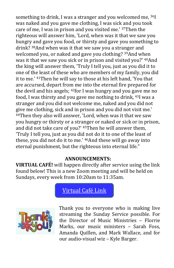something to drink, I was a stranger and you welcomed me, <sup>36</sup>I was naked and you gave me clothing, I was sick and you took care of me, I was in prison and you visited me.' 37Then the righteous will answer him, 'Lord, when was it that we saw you hungry and gave you food, or thirsty and gave you something to drink? 38And when was it that we saw you a stranger and welcomed you, or naked and gave you clothing? 39And when was it that we saw you sick or in prison and visited you?' 40And the king will answer them, 'Truly I tell you, just as you did it to one of the least of these who are members of my family, you did it to me.' 41Then he will say to those at his left hand, 'You that are accursed, depart from me into the eternal fire prepared for the devil and his angels; 42for I was hungry and you gave me no food, I was thirsty and you gave me nothing to drink, 43I was a stranger and you did not welcome me, naked and you did not give me clothing, sick and in prison and you did not visit me.' <sup>44</sup>Then they also will answer, 'Lord, when was it that we saw you hungry or thirsty or a stranger or naked or sick or in prison, and did not take care of you?' 45Then he will answer them, 'Truly I tell you, just as you did not do it to one of the least of these, you did not do it to me.' 46And these will go away into eternal punishment, but the righteous into eternal life."

#### **ANNOUNCEMENTS:**

**VIRTUAL CAFÉ!** will happen directly after service using the link found below! This is a new Zoom meeting and will be held on Sundays, every week from 10:20am to 11:35am.

[Virtual Café Link](https://www.signupgenius.com/go/20F0B4EAAAE28A3FE3-life26)



Thank you to everyone who is making live streaming the Sunday Service possible. For the Director of Music Ministries – Florrie Marks, our music ministers – Sarah Foss, Amanda Quillen, and Mark Wallace, and for our audio-visual wiz – Kyle Barger.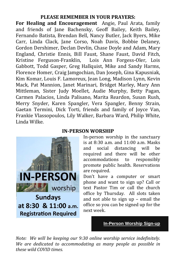#### **PLEASE REMEMBER IN YOUR PRAYERS:**

**For Healing and Encouragement** Angie, Paul Arata, family and friends of Jane Bachensky, Geoff Bailey, Keith Bailey, Fernando Batista, Brendan Bell, Nancy Butler, Jack Byers, Mike Carr, Linda Clack, Jane Corso, Noah Davis, Bobbie Delaney, Gordon Dershimer, Declan Devlin, Chase Doyle and Adam, Mary England, Christie Ennis, Bill Faust, Shane Faust, David Fitch, Kristine Ferguson-Franklin, Lois Ann Forgess-Oler, Lois Gabbott, Todd Gasper, Greg Hallquist, Mike and Sandy Harms, Florence Homer, Craig Jamgochian, Dan Joseph, Gina Kapusniak, Kim Komar, Louis F. Lamoreux, Jean Long, Madison Lynn, Kevin Mack, Pat Mannion, Janet Marinari, Bridget Marley, Mary Ann Mittleman, Sister Judy Moellet, Audie Murphy, Betty Pagan, Carmen Palacios, Linda Palisano, Marita Reardon, Susan Rush, Merry Snyder, Karen Spangler, Vera Spangler, Benny Strain, Gaetan Termini, Dick Torti, friends and family of Joyce Van, Frankie Vlassopoulos, Lily Walker, Barbara Ward, Philip White, Linda Wilke.



#### **IN-PERSON WORSHIP**

In-person worship in the sanctuary is at 8:30 a.m. and 11:00 a.m. Masks and social distancing will be required and there will be other accommodations to responsibly promote public health. Reservations are required.

Don't have a computer or smart phone and want to sign up? Call or text Pastor Tim or call the church office by Thursday. All slots taken and not able to sign up – email the office so you can be signed up for the next week.

#### **[In-Person](https://www.signupgenius.com/go/20F0B4EAAAE28A3FE3-inperson) Worship Sign-u[p](https://www.signupgenius.com/go/20F0B4EAAAE28A3FE3-inperson)**

*Note: We will be keeping our 9:30 online worship service indefinitely. We are dedicated to accommodating as many people as possible in these wild COVID times.*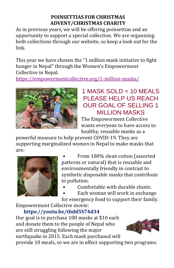#### **POINSETTIAS FOR CHRISTMAS ADVENT/CHRISTMAS CHARITY**

As in previous years, we will be offering poinsettias and an opportunity to support a special collection. We are organizing both collections through our website, so keep a look out for the link.

This year we have chosen the "1 million mask initiative to fight hunger in Nepal" through the Women's Empowerment Collective in Nepal.

<https://empowermentcollective.org/1-million-masks/>



## 1 MASK SOLD  $=$  10 MFALS PLEASE HELP US REACH OUR GOAL OF SELLING 1 MILLION MASKS

The Empowerment Collective wants everyone to have access to healthy, reusable masks as a

powerful measure to help prevent COVID-19. They are supporting marginalized women in Nepal to make masks that are:



• From 100% clean cotton (assorted patterns or natural) that is reusable and environmentally friendly in contrast to synthetic disposable masks that contribute to pollution.

- Comfortable with durable elastic.
- Each woman will work in exchange

for emergency food to support their family.

Empowerment Collective movie:

**https://youtu.be/tbdd5S74d34** Our goal is to purchase 100 masks at \$10 each and donate them to the people of Nepal who are still struggling following the major earthquake in 2015. Each mask purchased will provide 10 meals, so we are in effect supporting two programs.

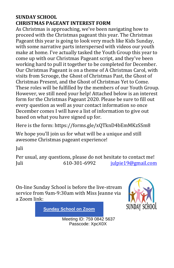### **SUNDAY SCHOOL CHRISTMAS PAGEANT INTEREST FORM**

As Christmas is approaching, we've been navigating how to proceed with the Christmas pageant this year. The Christmas Pageant this year is going to look very much like Kids Sunday, with some narrative parts interspersed with videos our youth make at home. I've actually tasked the Youth Group this year to come up with our Christmas Pageant script, and they've been working hard to pull it together to be completed for December. Our Christmas Pageant is on a theme of A Christmas Carol, with visits from Scrooge, the Ghost of Christmas Past, the Ghost of Christmas Present, and the Ghost of Christmas Yet to Come. These roles will be fulfilled by the members of our Youth Group. However, we still need your help! Attached below is an interest form for the Christmas Pageant 2020. Please be sure to fill out every question as well as your contact information so once December comes I will have a list of information to give out based on what you have signed up for.

Here is the form: https://forms.gle/xQTknD4bEmMKzSSm8

We hope you'll join us for what will be a unique and still awesome Christmas pageant experience!

Juli

Per usual, any questions, please do not hesitate to contact me! Juli 610-301-6992 [julpie19@gmail.com](mailto:julpie19@gmail.com)

On-line Sunday School is before the live-stream service from 9am-9:30am with Miss Jeanne via a Zoom link:



**[Sunday](http://r20.rs6.net/tn.jsp?f=001QFP-XpwqYVIOGYuD_Zv5FDqjJeRYmtESaDesosEdaWyiS3Z1nMS0Vn1-fuygIQZ2XxDDpPHk_rFB_gcn9LgAvRqrJ8Wa9UYmqZAUjz307YLvfEwNqO_yLDF3oTb2oiLW5mfX_NK6VY2F5Ev0o7VH2NMH8dnKb1intI8DToGIH_aYzQybO2iKftuLms-EojBIs4iIkhTahqGL-hdzk1-MlE3mbvRbWtyp&c=LOwUo0uMNC3TRMSh-rVB-qukS6y_jEaHAsK3CgP8xvWhERZo0DO1eQ==&ch=UFMgE9G7KKnqjVyxOIxF2vLnu161d45SfIhzHUxbi4DpE-IgORTkwQ==) School on Zoom**

Meeting ID: 759 0842 5637 Passcode: XpcX0X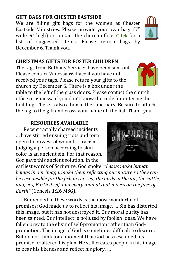#### **GIFT BAGS FOR CHESTER EASTSIDE**

We are filling gift bags for the women at Chester Eastside Ministries. Please provide your own bags (7" wide, 9" high) or contact the church office. **[Click](https://files.constantcontact.com/2f1453eb201/039b03e4-5b5b-4582-856e-eb18f3920257.pdf)** for a list of suggested items. Please return bags by December 6. Thank you.

#### **CHRISTMAS GIFTS FOR FOSTER CHILDREN**

The tags from Bethany Services have been sent out. Please contact Vanessa Wallace if you have not received your tags. Please return your gifts to the church by December 6. There is a box under the

table to the left of the glass doors. Please contact the church office or Vanessa if you don't know the code for entering the building. There is also a box in the sanctuary. Be sure to attach the tag to the gift and cross your name off the list. Thank you.

#### **RESOURCES AVAILABLE**

Recent racially charged incidents … have stirred ensuing riots and torn open the rawest of wounds – racism. Judging a person according to skin color is an ancient sin. For that reason, God gave this ancient solution. In the

earliest words of Scripture, God spoke: *"Let us make human beings in our image, make them reflecting our nature so they can be responsible for the fish in the sea, the birds in the air, the cattle, and, yes, Earth itself, and every animal that moves on the face of Earth"* (Genesis 1:26 MSG).

Embedded in these words is the most wonderful of promises: God made us to reflect his image. … Sin has distorted this image, but it has not destroyed it. Our moral purity has been tainted. Our intellect is polluted by foolish ideas. We have fallen prey to the elixir of self-promotion rather than Godpromotion. The image of God is sometimes difficult to discern. But do not think for a moment that God has rescinded his promise or altered his plan. He still creates people in his image to bear his likeness and reflect his glory. …





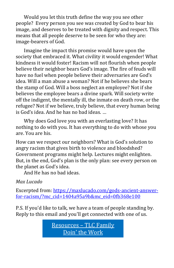Would you let this truth define the way you see other people? Every person you see was created by God to bear his image, and deserves to be treated with dignity and respect. This means that all people deserve to be seen for who they are: image-bearers of God.

Imagine the impact this promise would have upon the society that embraced it. What civility it would engender! What kindness it would foster! Racism will not flourish when people believe their neighbor bears God's image. The fire of feuds will have no fuel when people believe their adversaries are God's idea. Will a man abuse a woman? Not if he believes she bears the stamp of God. Will a boss neglect an employee? Not if she believes the employee bears a divine spark. Will society write off the indigent, the mentally ill, the inmate on death row, or the refugee? Not if we believe, truly believe, that every human being is God's idea. And he has no bad ideas. …

Why does God love you with an everlasting love? It has nothing to do with you. It has everything to do with whose you are. You are his.

How can we respect our neighbors? What is God's solution to angry racism that gives birth to violence and bloodshed? Government programs might help. Lectures might enlighten. But, in the end, God's plan is the only plan: see every person on the planet as God's idea.

And He has no bad ideas.

#### *Max Lucado*

Excerpted from: [https://maxlucado.com/gods-ancient-answer](https://maxlucado.com/gods-ancient-answer-for-racism/?mc_cid=1404a95a9b&mc_eid=0fb368e100)[for-racism/?mc\\_cid=1404a95a9b&mc\\_eid=0fb368e100](https://maxlucado.com/gods-ancient-answer-for-racism/?mc_cid=1404a95a9b&mc_eid=0fb368e100)

P.S. If you'd like to talk, we have a team of people standing by. Reply to this email and you'll get connected with one of us.

> Resources – [TLC Family](https://docs.google.com/document/d/1g6IMRzHmvOfrSsdmMNSU5QO9kqomFkhKRrMa3ko8d1o/edit?usp=sharing)  [Doin' the Work](https://docs.google.com/document/d/1g6IMRzHmvOfrSsdmMNSU5QO9kqomFkhKRrMa3ko8d1o/edit?usp=sharing)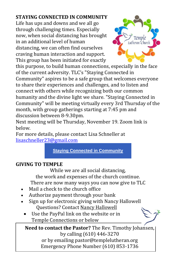## **STAYING CONNECTED IN COMMUNITY**

Life has ups and downs and we all go through challenging times. Especially now, when social distancing has brought in an additional level of human distancing, we can often find ourselves craving human interaction and support. This group has been initiated for exactly



this purpose, to build human connections, especially in the face of the current adversity. TLC's "Staying Connected in Community" aspires to be a safe group that welcomes everyone to share their experiences and challenges, and to listen and connect with others while recognizing both our common humanity and the divine light we share. "Staying Connected in Community" will be meeting virtually every 3rd Thursday of the month, with group gatherings starting at 7:45 pm and discussion between 8-9.30pm.

Next meeting will be Thursday, November 19. Zoom link is below.

For more details, please contact Lisa Schneller at [lisaschneller23@gmail.com](mailto:lisaschneller23@gmail.com)

**Staying Connected in [Community](http://r20.rs6.net/tn.jsp?f=001KhLwlwpIFmANJbPG6dfeafr8cNute8WR7RttrMqssseUwgmNO9W_jdD8zut1fxjtH8U-Eip_AI-gum27O1OB16sjdZpeOHawDllsZ2a8ewr-J0VFeKZWdScBkGfMYsMdAzckgByfO5nvxVeT9TlcFOOljiteSPc6&c=jZmbVXhXDXzfCS1DnX9XulHMexKfxFmL1XCYubZ2BS3-FMDlYukTzQ==&ch=36PIoX75SuGAlPP_S-MSL82NwaXQSyiZurPFRd_XC4WMj3sXS9Cs8g==)**

#### **GIVING TO TEMPLE**

While we are all social distancing, the work and expenses of the church continue. There are now many ways you can now give to TLC

- Mail a check to the church office
- Authorize payment through your bank
- Sign up for electronic giving with Nancy Hallowell Questions? Contact Nancy [Hallowell](mailto:nancy.hallowell@gmail.com)
	- Use the PayPal link on the website or in Temple Connections or below

**Need to contact the Pastor?** The Rev. Timothy Joh[ansen,](https://www.paypal.com/cgi-bin/webscr?cmd=_s-xclick&hosted_button_id=HYVNQCZRQ5Q5A&source=url)  by calling (610) 446-3270 or by emailing pastor@templelutheran.org Emergency Phone Number (610) 853-1736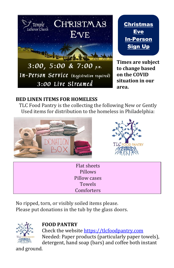



**Times are subject to change based on the COVID situation in our area.**

#### **BED LINEN ITEMS FOR HOMELESS**

TLC Food Pantry is the collecting the following New or Gently Used items for distribution to the homeless in Philadelphia:





Flat sheets Pillows Pillow cases Towels **Comforters** 

No ripped, torn, or visibly soiled items please. Please put donations in the tub by the glass doors.



#### **FOOD PANTRY**

Check the website [https://tlcfoodpantry.com](https://tlcfoodpantry.com/) Needed: Paper products (particularly paper towels), detergent, hand soap (bars) and coffee both instant

and ground.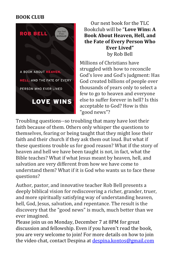#### **BOOK CLUB**



#### Our next book for the TLC Bookclub will be "**Love Wins: A Book About Heaven, Hell, and the Fate of Every Person Who Ever Lived"** by Rob Bell

Millions of Christians have struggled with how to reconcile God's love and God's judgment: Has God created billions of people over thousands of years only to select a few to go to heaven and everyone else to suffer forever in hell? Is this acceptable to God? How is this "good news"?

Troubling questions--so troubling that many have lost their faith because of them. Others only whisper the questions to themselves, fearing or being taught that they might lose their faith and their church if they ask them out loud. But what if these questions trouble us for good reason? What if the story of heaven and hell we have been taught is not, in fact, what the Bible teaches? What if what Jesus meant by heaven, hell, and salvation are very different from how we have come to understand them? What if it is God who wants us to face these questions?

Author, pastor, and innovative teacher Rob Bell presents a deeply biblical vision for rediscovering a richer, grander, truer, and more spiritually satisfying way of understanding heaven, hell, God, Jesus, salvation, and repentance. The result is the discovery that the "good news" is much, much better than we ever imagined.

Please join us on Monday, December 7 at 8PM for great discussion and fellowship. Even if you haven't read the book, you are very welcome to join! For more details on how to join the video chat, contact Despina at [despina.kontos@gmail.com](mailto:despina.kontos@gmail.com)